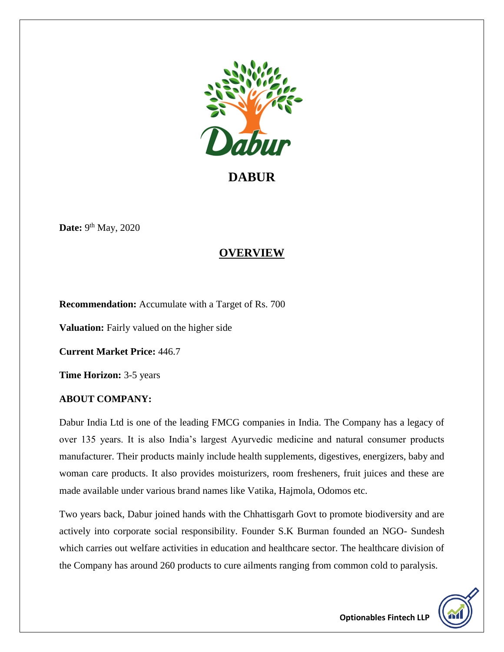

**DABUR**

**Date:** 9<sup>th</sup> May, 2020

# **OVERVIEW**

**Recommendation:** Accumulate with a Target of Rs. 700

**Valuation:** Fairly valued on the higher side

**Current Market Price:** 446.7

**Time Horizon:** 3-5 years

### **ABOUT COMPANY:**

Dabur India Ltd is one of the leading FMCG companies in India. The Company has a legacy of over 135 years. It is also India's largest Ayurvedic medicine and natural consumer products manufacturer. Their products mainly include health supplements, digestives, energizers, baby and woman care products. It also provides moisturizers, room fresheners, fruit juices and these are made available under various brand names like Vatika, Hajmola, Odomos etc.

Two years back, Dabur joined hands with the Chhattisgarh Govt to promote biodiversity and are actively into corporate social responsibility. Founder S.K Burman founded an NGO- Sundesh which carries out welfare activities in education and healthcare sector. The healthcare division of the Company has around 260 products to cure ailments ranging from common cold to paralysis.

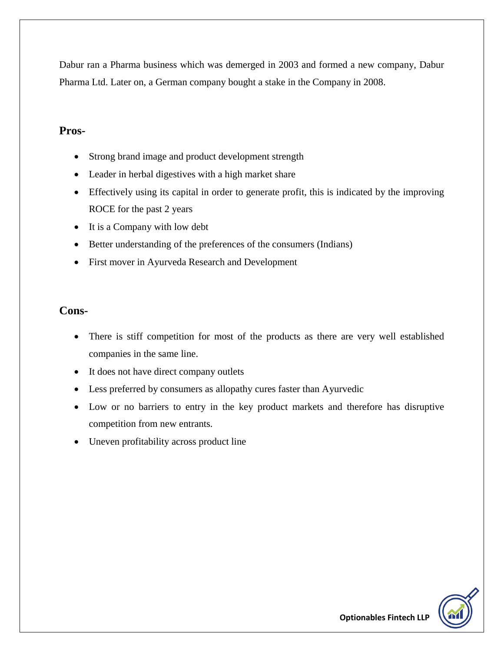Dabur ran a Pharma business which was demerged in 2003 and formed a new company, Dabur Pharma Ltd. Later on, a German company bought a stake in the Company in 2008.

### **Pros-**

- Strong brand image and product development strength
- Leader in herbal digestives with a high market share
- Effectively using its capital in order to generate profit, this is indicated by the improving ROCE for the past 2 years
- It is a Company with low debt
- Better understanding of the preferences of the consumers (Indians)
- First mover in Ayurveda Research and Development

### **Cons-**

- There is stiff competition for most of the products as there are very well established companies in the same line.
- It does not have direct company outlets
- Less preferred by consumers as allopathy cures faster than Ayurvedic
- Low or no barriers to entry in the key product markets and therefore has disruptive competition from new entrants.
- Uneven profitability across product line

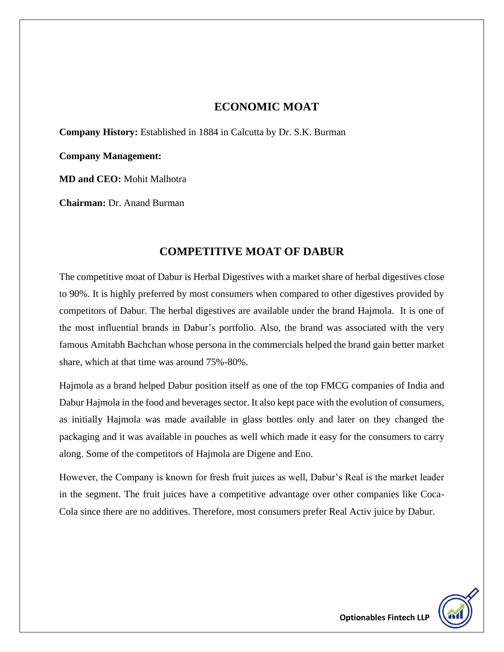### **ECONOMIC MOAT**

**Company History:** Established in 1884 in Calcutta by Dr. S.K. Burman

**Company Management:**

**MD and CEO:** Mohit Malhotra

**Chairman:** Dr. Anand Burman

## **COMPETITIVE MOAT OF DABUR**

The competitive moat of Dabur is Herbal Digestives with a market share of herbal digestives close to 90%. It is highly preferred by most consumers when compared to other digestives provided by competitors of Dabur. The herbal digestives are available under the brand Hajmola. It is one of the most influential brands in Dabur's portfolio. Also, the brand was associated with the very famous Amitabh Bachchan whose persona in the commercials helped the brand gain better market share, which at that time was around 75%-80%.

Hajmola as a brand helped Dabur position itself as one of the top FMCG companies of India and Dabur Hajmola in the food and beverages sector. It also kept pace with the evolution of consumers, as initially Hajmola was made available in glass bottles only and later on they changed the packaging and it was available in pouches as well which made it easy for the consumers to carry along. Some of the competitors of Hajmola are Digene and Eno.

However, the Company is known for fresh fruit juices as well, Dabur's Real is the market leader in the segment. The fruit juices have a competitive advantage over other companies like Coca-Cola since there are no additives. Therefore, most consumers prefer Real Activ juice by Dabur.

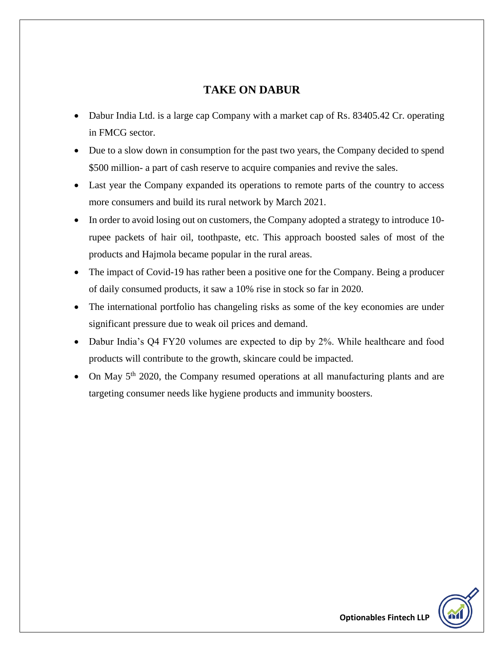# **TAKE ON DABUR**

- Dabur India Ltd. is a large cap Company with a market cap of Rs. 83405.42 Cr. operating in FMCG sector.
- Due to a slow down in consumption for the past two years, the Company decided to spend \$500 million- a part of cash reserve to acquire companies and revive the sales.
- Last year the Company expanded its operations to remote parts of the country to access more consumers and build its rural network by March 2021.
- In order to avoid losing out on customers, the Company adopted a strategy to introduce 10 rupee packets of hair oil, toothpaste, etc. This approach boosted sales of most of the products and Hajmola became popular in the rural areas.
- The impact of Covid-19 has rather been a positive one for the Company. Being a producer of daily consumed products, it saw a 10% rise in stock so far in 2020.
- The international portfolio has changeling risks as some of the key economies are under significant pressure due to weak oil prices and demand.
- Dabur India's Q4 FY20 volumes are expected to dip by 2%. While healthcare and food products will contribute to the growth, skincare could be impacted.
- On May 5th 2020, the Company resumed operations at all manufacturing plants and are targeting consumer needs like hygiene products and immunity boosters.

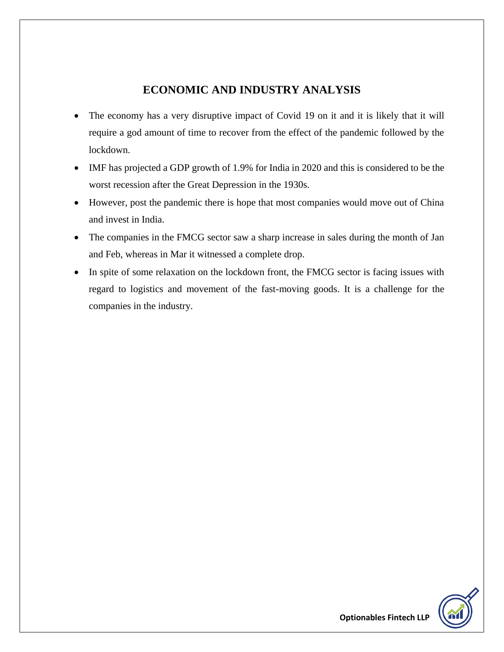# **ECONOMIC AND INDUSTRY ANALYSIS**

- The economy has a very disruptive impact of Covid 19 on it and it is likely that it will require a god amount of time to recover from the effect of the pandemic followed by the lockdown.
- IMF has projected a GDP growth of 1.9% for India in 2020 and this is considered to be the worst recession after the Great Depression in the 1930s.
- However, post the pandemic there is hope that most companies would move out of China and invest in India.
- The companies in the FMCG sector saw a sharp increase in sales during the month of Jan and Feb, whereas in Mar it witnessed a complete drop.
- In spite of some relaxation on the lockdown front, the FMCG sector is facing issues with regard to logistics and movement of the fast-moving goods. It is a challenge for the companies in the industry.

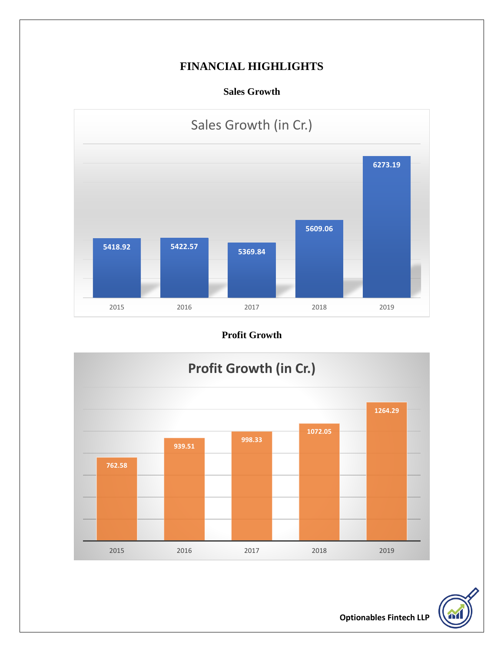# **FINANCIAL HIGHLIGHTS**

**Sales Growth**



# **Profit Growth**





**Optionables Fintech LLP**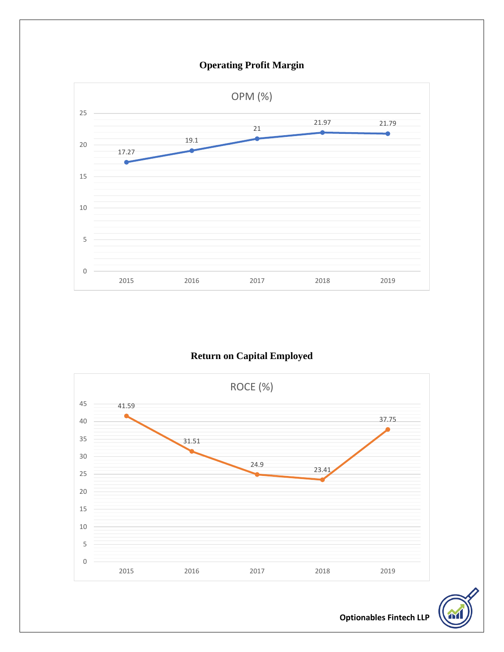

**Return on Capital Employed**





**Optionables Fintech LLP**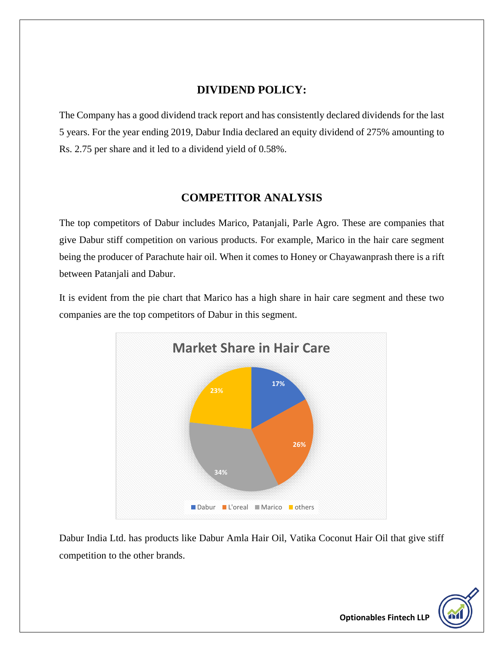## **DIVIDEND POLICY:**

The Company has a good dividend track report and has consistently declared dividends for the last 5 years. For the year ending 2019, Dabur India declared an equity dividend of 275% amounting to Rs. 2.75 per share and it led to a dividend yield of 0.58%.

## **COMPETITOR ANALYSIS**

The top competitors of Dabur includes Marico, Patanjali, Parle Agro. These are companies that give Dabur stiff competition on various products. For example, Marico in the hair care segment being the producer of Parachute hair oil. When it comes to Honey or Chayawanprash there is a rift between Patanjali and Dabur.

It is evident from the pie chart that Marico has a high share in hair care segment and these two companies are the top competitors of Dabur in this segment.



Dabur India Ltd. has products like Dabur Amla Hair Oil, Vatika Coconut Hair Oil that give stiff competition to the other brands.

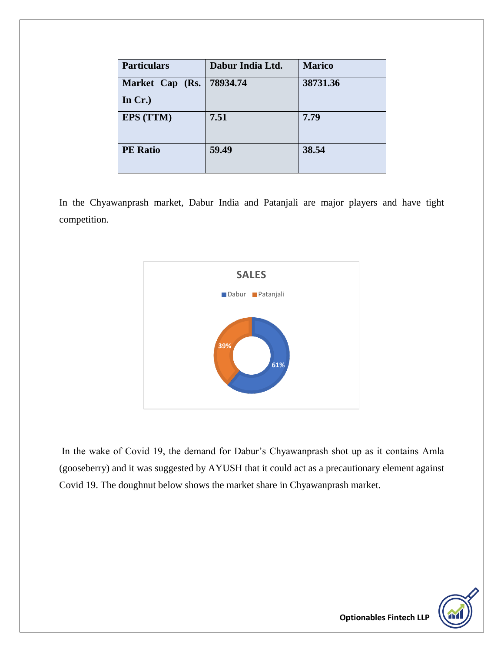| <b>Particulars</b> | Dabur India Ltd. | <b>Marico</b> |
|--------------------|------------------|---------------|
| Market Cap (Rs.    | 78934.74         | 38731.36      |
| In $Cr.$           |                  |               |
| <b>EPS (TTM)</b>   | 7.51             | 7.79          |
| <b>PE</b> Ratio    | 59.49            | 38.54         |

In the Chyawanprash market, Dabur India and Patanjali are major players and have tight competition.



In the wake of Covid 19, the demand for Dabur's Chyawanprash shot up as it contains Amla (gooseberry) and it was suggested by AYUSH that it could act as a precautionary element against Covid 19. The doughnut below shows the market share in Chyawanprash market.

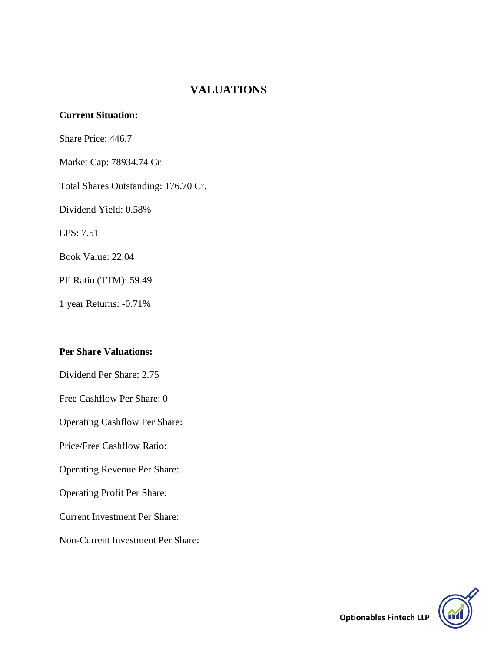## **VALUATIONS**

#### **Current Situation:**

Share Price: 446.7

Market Cap: 78934.74 Cr

Total Shares Outstanding: 176.70 Cr.

Dividend Yield: 0.58%

EPS: 7.51

Book Value: 22.04

PE Ratio (TTM): 59.49

1 year Returns: -0.71%

#### **Per Share Valuations:**

Dividend Per Share: 2.75

Free Cashflow Per Share: 0

Operating Cashflow Per Share:

Price/Free Cashflow Ratio:

Operating Revenue Per Share:

Operating Profit Per Share:

Current Investment Per Share:

Non-Current Investment Per Share:

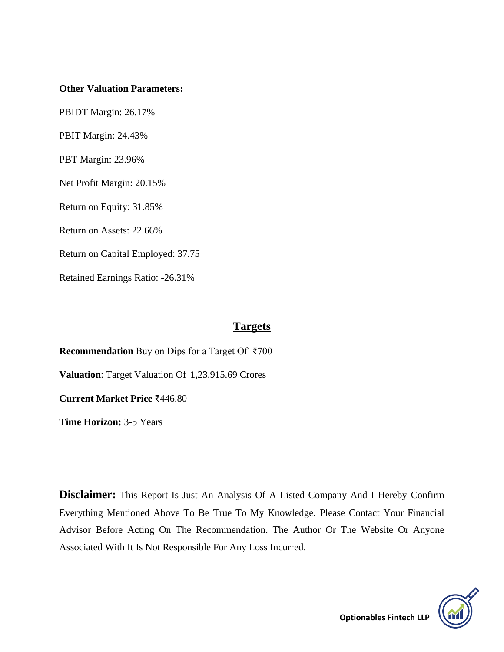#### **Other Valuation Parameters:**

PBIDT Margin: 26.17%

PBIT Margin: 24.43%

PBT Margin: 23.96%

Net Profit Margin: 20.15%

Return on Equity: 31.85%

Return on Assets: 22.66%

Return on Capital Employed: 37.75

Retained Earnings Ratio: -26.31%

#### **Targets**

**Recommendation** Buy on Dips for a Target Of ₹700

**Valuation**: Target Valuation Of 1,23,915.69 Crores

**Current Market Price** ₹446.80

**Time Horizon:** 3-5 Years

**Disclaimer:** This Report Is Just An Analysis Of A Listed Company And I Hereby Confirm Everything Mentioned Above To Be True To My Knowledge. Please Contact Your Financial Advisor Before Acting On The Recommendation. The Author Or The Website Or Anyone Associated With It Is Not Responsible For Any Loss Incurred.